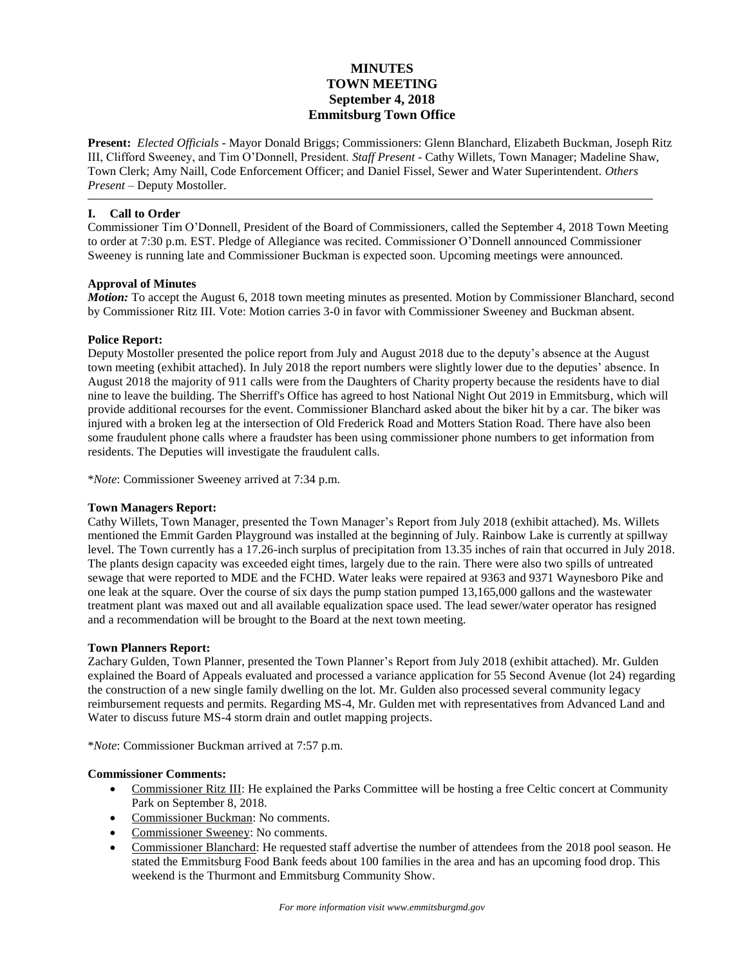# **MINUTES TOWN MEETING September 4, 2018 Emmitsburg Town Office**

**Present:** *Elected Officials* - Mayor Donald Briggs; Commissioners: Glenn Blanchard, Elizabeth Buckman, Joseph Ritz III, Clifford Sweeney, and Tim O'Donnell, President. *Staff Present* - Cathy Willets, Town Manager; Madeline Shaw, Town Clerk; Amy Naill, Code Enforcement Officer; and Daniel Fissel, Sewer and Water Superintendent. *Others Present* – Deputy Mostoller.

# **I. Call to Order**

Commissioner Tim O'Donnell, President of the Board of Commissioners, called the September 4, 2018 Town Meeting to order at 7:30 p.m. EST. Pledge of Allegiance was recited. Commissioner O'Donnell announced Commissioner Sweeney is running late and Commissioner Buckman is expected soon. Upcoming meetings were announced.

# **Approval of Minutes**

*Motion:* To accept the August 6, 2018 town meeting minutes as presented. Motion by Commissioner Blanchard, second by Commissioner Ritz III. Vote: Motion carries 3-0 in favor with Commissioner Sweeney and Buckman absent.

# **Police Report:**

Deputy Mostoller presented the police report from July and August 2018 due to the deputy's absence at the August town meeting (exhibit attached). In July 2018 the report numbers were slightly lower due to the deputies' absence. In August 2018 the majority of 911 calls were from the Daughters of Charity property because the residents have to dial nine to leave the building. The Sherriff's Office has agreed to host National Night Out 2019 in Emmitsburg, which will provide additional recourses for the event. Commissioner Blanchard asked about the biker hit by a car. The biker was injured with a broken leg at the intersection of Old Frederick Road and Motters Station Road. There have also been some fraudulent phone calls where a fraudster has been using commissioner phone numbers to get information from residents. The Deputies will investigate the fraudulent calls.

\**Note*: Commissioner Sweeney arrived at 7:34 p.m.

# **Town Managers Report:**

Cathy Willets, Town Manager, presented the Town Manager's Report from July 2018 (exhibit attached). Ms. Willets mentioned the Emmit Garden Playground was installed at the beginning of July. Rainbow Lake is currently at spillway level. The Town currently has a 17.26-inch surplus of precipitation from 13.35 inches of rain that occurred in July 2018. The plants design capacity was exceeded eight times, largely due to the rain. There were also two spills of untreated sewage that were reported to MDE and the FCHD. Water leaks were repaired at 9363 and 9371 Waynesboro Pike and one leak at the square. Over the course of six days the pump station pumped 13,165,000 gallons and the wastewater treatment plant was maxed out and all available equalization space used. The lead sewer/water operator has resigned and a recommendation will be brought to the Board at the next town meeting.

# **Town Planners Report:**

Zachary Gulden, Town Planner, presented the Town Planner's Report from July 2018 (exhibit attached). Mr. Gulden explained the Board of Appeals evaluated and processed a variance application for 55 Second Avenue (lot 24) regarding the construction of a new single family dwelling on the lot. Mr. Gulden also processed several community legacy reimbursement requests and permits. Regarding MS-4, Mr. Gulden met with representatives from Advanced Land and Water to discuss future MS-4 storm drain and outlet mapping projects.

\**Note*: Commissioner Buckman arrived at 7:57 p.m.

# **Commissioner Comments:**

- Commissioner Ritz III: He explained the Parks Committee will be hosting a free Celtic concert at Community Park on September 8, 2018.
- Commissioner Buckman: No comments.
- Commissioner Sweeney: No comments.
- Commissioner Blanchard: He requested staff advertise the number of attendees from the 2018 pool season. He stated the Emmitsburg Food Bank feeds about 100 families in the area and has an upcoming food drop. This weekend is the Thurmont and Emmitsburg Community Show.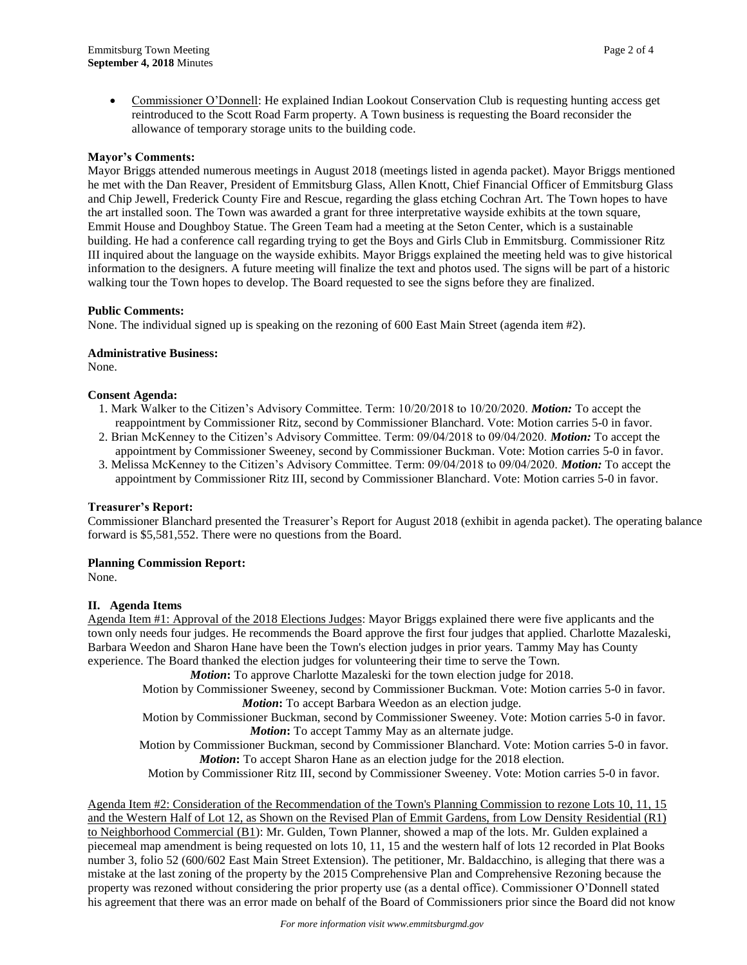Commissioner O'Donnell: He explained Indian Lookout Conservation Club is requesting hunting access get reintroduced to the Scott Road Farm property. A Town business is requesting the Board reconsider the allowance of temporary storage units to the building code.

#### **Mayor's Comments:**

Mayor Briggs attended numerous meetings in August 2018 (meetings listed in agenda packet). Mayor Briggs mentioned he met with the Dan Reaver, President of Emmitsburg Glass, Allen Knott, Chief Financial Officer of Emmitsburg Glass and Chip Jewell, Frederick County Fire and Rescue, regarding the glass etching Cochran Art. The Town hopes to have the art installed soon. The Town was awarded a grant for three interpretative wayside exhibits at the town square, Emmit House and Doughboy Statue. The Green Team had a meeting at the Seton Center, which is a sustainable building. He had a conference call regarding trying to get the Boys and Girls Club in Emmitsburg. Commissioner Ritz III inquired about the language on the wayside exhibits. Mayor Briggs explained the meeting held was to give historical information to the designers. A future meeting will finalize the text and photos used. The signs will be part of a historic walking tour the Town hopes to develop. The Board requested to see the signs before they are finalized.

#### **Public Comments:**

None. The individual signed up is speaking on the rezoning of 600 East Main Street (agenda item #2).

#### **Administrative Business:**

None.

### **Consent Agenda:**

- 1. Mark Walker to the Citizen's Advisory Committee. Term: 10/20/2018 to 10/20/2020. *Motion:* To accept the reappointment by Commissioner Ritz, second by Commissioner Blanchard. Vote: Motion carries 5-0 in favor.
- 2. Brian McKenney to the Citizen's Advisory Committee. Term: 09/04/2018 to 09/04/2020. *Motion:* To accept the appointment by Commissioner Sweeney, second by Commissioner Buckman. Vote: Motion carries 5-0 in favor.
- 3. Melissa McKenney to the Citizen's Advisory Committee. Term: 09/04/2018 to 09/04/2020. *Motion:* To accept the appointment by Commissioner Ritz III, second by Commissioner Blanchard. Vote: Motion carries 5-0 in favor.

# **Treasurer's Report:**

Commissioner Blanchard presented the Treasurer's Report for August 2018 (exhibit in agenda packet). The operating balance forward is \$5,581,552. There were no questions from the Board.

# **Planning Commission Report:**

None.

# **II. Agenda Items**

Agenda Item #1: Approval of the 2018 Elections Judges: Mayor Briggs explained there were five applicants and the town only needs four judges. He recommends the Board approve the first four judges that applied. Charlotte Mazaleski, Barbara Weedon and Sharon Hane have been the Town's election judges in prior years. Tammy May has County experience. The Board thanked the election judges for volunteering their time to serve the Town.

*Motion***:** To approve Charlotte Mazaleski for the town election judge for 2018.

Motion by Commissioner Sweeney, second by Commissioner Buckman. Vote: Motion carries 5-0 in favor. *Motion***:** To accept Barbara Weedon as an election judge.

Motion by Commissioner Buckman, second by Commissioner Sweeney. Vote: Motion carries 5-0 in favor. *Motion***:** To accept Tammy May as an alternate judge.

Motion by Commissioner Buckman, second by Commissioner Blanchard. Vote: Motion carries 5-0 in favor. *Motion*: To accept Sharon Hane as an election judge for the 2018 election.

Motion by Commissioner Ritz III, second by Commissioner Sweeney. Vote: Motion carries 5-0 in favor.

Agenda Item #2: Consideration of the Recommendation of the Town's Planning Commission to rezone Lots 10, 11, 15 and the Western Half of Lot 12, as Shown on the Revised Plan of Emmit Gardens, from Low Density Residential (R1) to Neighborhood Commercial (B1): Mr. Gulden, Town Planner, showed a map of the lots. Mr. Gulden explained a piecemeal map amendment is being requested on lots 10, 11, 15 and the western half of lots 12 recorded in Plat Books number 3, folio 52 (600/602 East Main Street Extension). The petitioner, Mr. Baldacchino, is alleging that there was a mistake at the last zoning of the property by the 2015 Comprehensive Plan and Comprehensive Rezoning because the property was rezoned without considering the prior property use (as a dental office). Commissioner O'Donnell stated his agreement that there was an error made on behalf of the Board of Commissioners prior since the Board did not know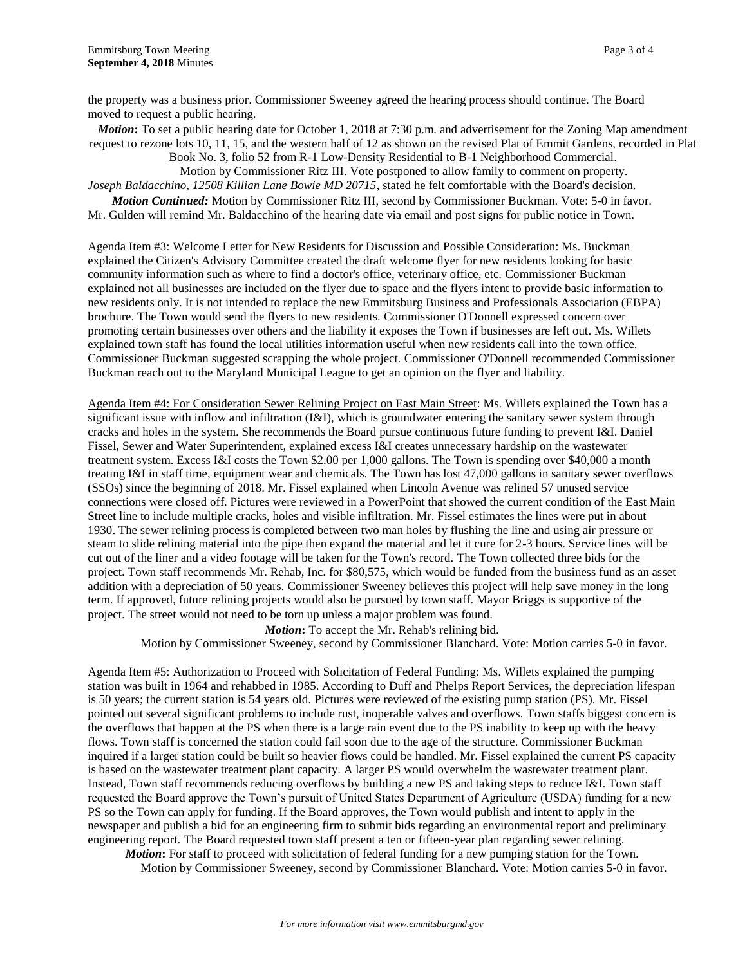moved to request a public hearing.

*Motion*: To set a public hearing date for October 1, 2018 at 7:30 p.m. and advertisement for the Zoning Map amendment request to rezone lots 10, 11, 15, and the western half of 12 as shown on the revised Plat of Emmit Gardens, recorded in Plat

Book No. 3, folio 52 from R-1 Low-Density Residential to B-1 Neighborhood Commercial.

Motion by Commissioner Ritz III. Vote postponed to allow family to comment on property. *Joseph Baldacchino, 12508 Killian Lane Bowie MD 20715*, stated he felt comfortable with the Board's decision.

*Motion Continued:* Motion by Commissioner Ritz III, second by Commissioner Buckman. Vote: 5-0 in favor. Mr. Gulden will remind Mr. Baldacchino of the hearing date via email and post signs for public notice in Town.

Agenda Item #3: Welcome Letter for New Residents for Discussion and Possible Consideration: Ms. Buckman explained the Citizen's Advisory Committee created the draft welcome flyer for new residents looking for basic community information such as where to find a doctor's office, veterinary office, etc. Commissioner Buckman explained not all businesses are included on the flyer due to space and the flyers intent to provide basic information to new residents only. It is not intended to replace the new Emmitsburg Business and Professionals Association (EBPA) brochure. The Town would send the flyers to new residents. Commissioner O'Donnell expressed concern over promoting certain businesses over others and the liability it exposes the Town if businesses are left out. Ms. Willets explained town staff has found the local utilities information useful when new residents call into the town office. Commissioner Buckman suggested scrapping the whole project. Commissioner O'Donnell recommended Commissioner Buckman reach out to the Maryland Municipal League to get an opinion on the flyer and liability.

Agenda Item #4: For Consideration Sewer Relining Project on East Main Street: Ms. Willets explained the Town has a significant issue with inflow and infiltration ( $I&I$ ), which is groundwater entering the sanitary sewer system through cracks and holes in the system. She recommends the Board pursue continuous future funding to prevent I&I. Daniel Fissel, Sewer and Water Superintendent, explained excess I&I creates unnecessary hardship on the wastewater treatment system. Excess I&I costs the Town \$2.00 per 1,000 gallons. The Town is spending over \$40,000 a month treating I&I in staff time, equipment wear and chemicals. The Town has lost 47,000 gallons in sanitary sewer overflows (SSOs) since the beginning of 2018. Mr. Fissel explained when Lincoln Avenue was relined 57 unused service connections were closed off. Pictures were reviewed in a PowerPoint that showed the current condition of the East Main Street line to include multiple cracks, holes and visible infiltration. Mr. Fissel estimates the lines were put in about 1930. The sewer relining process is completed between two man holes by flushing the line and using air pressure or steam to slide relining material into the pipe then expand the material and let it cure for 2-3 hours. Service lines will be cut out of the liner and a video footage will be taken for the Town's record. The Town collected three bids for the project. Town staff recommends Mr. Rehab, Inc. for \$80,575, which would be funded from the business fund as an asset addition with a depreciation of 50 years. Commissioner Sweeney believes this project will help save money in the long term. If approved, future relining projects would also be pursued by town staff. Mayor Briggs is supportive of the project. The street would not need to be torn up unless a major problem was found.

*Motion***:** To accept the Mr. Rehab's relining bid. Motion by Commissioner Sweeney, second by Commissioner Blanchard. Vote: Motion carries 5-0 in favor.

Agenda Item #5: Authorization to Proceed with Solicitation of Federal Funding: Ms. Willets explained the pumping station was built in 1964 and rehabbed in 1985. According to Duff and Phelps Report Services, the depreciation lifespan is 50 years; the current station is 54 years old. Pictures were reviewed of the existing pump station (PS). Mr. Fissel pointed out several significant problems to include rust, inoperable valves and overflows. Town staffs biggest concern is the overflows that happen at the PS when there is a large rain event due to the PS inability to keep up with the heavy flows. Town staff is concerned the station could fail soon due to the age of the structure. Commissioner Buckman inquired if a larger station could be built so heavier flows could be handled. Mr. Fissel explained the current PS capacity is based on the wastewater treatment plant capacity. A larger PS would overwhelm the wastewater treatment plant. Instead, Town staff recommends reducing overflows by building a new PS and taking steps to reduce I&I. Town staff requested the Board approve the Town's pursuit of United States Department of Agriculture (USDA) funding for a new PS so the Town can apply for funding. If the Board approves, the Town would publish and intent to apply in the newspaper and publish a bid for an engineering firm to submit bids regarding an environmental report and preliminary engineering report. The Board requested town staff present a ten or fifteen-year plan regarding sewer relining.

*Motion***:** For staff to proceed with solicitation of federal funding for a new pumping station for the Town. Motion by Commissioner Sweeney, second by Commissioner Blanchard. Vote: Motion carries 5-0 in favor.